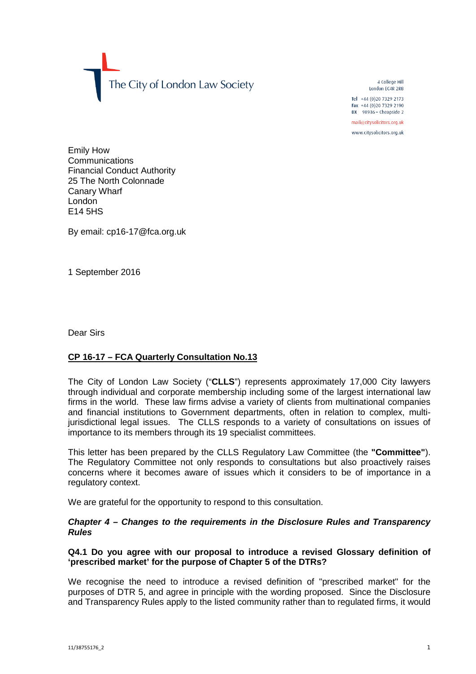The City of London Law Society

4 College Hill London FC4R 2RB

Tel +44 (0)20 7329 2173 Fax +44 (0)20 7329 2190 DX  $98936$  - Cheapside 2

mail@citysolicitors.org.uk

www.citysolicitors.org.uk

Emily How **Communications** Financial Conduct Authority 25 The North Colonnade Canary Wharf London E14 5HS

By email: cp16-17@fca.org.uk

1 September 2016

Dear Sirs

# **CP 16-17 – FCA Quarterly Consultation No.13**

The City of London Law Society ("**CLLS**") represents approximately 17,000 City lawyers through individual and corporate membership including some of the largest international law firms in the world. These law firms advise a variety of clients from multinational companies and financial institutions to Government departments, often in relation to complex, multijurisdictional legal issues. The CLLS responds to a variety of consultations on issues of importance to its members through its 19 specialist committees.

This letter has been prepared by the CLLS Regulatory Law Committee (the **"Committee"**). The Regulatory Committee not only responds to consultations but also proactively raises concerns where it becomes aware of issues which it considers to be of importance in a regulatory context.

We are grateful for the opportunity to respond to this consultation.

# *Chapter 4 – Changes to the requirements in the Disclosure Rules and Transparency Rules*

# **Q4.1 Do you agree with our proposal to introduce a revised Glossary definition of 'prescribed market' for the purpose of Chapter 5 of the DTRs?**

We recognise the need to introduce a revised definition of "prescribed market" for the purposes of DTR 5, and agree in principle with the wording proposed. Since the Disclosure and Transparency Rules apply to the listed community rather than to regulated firms, it would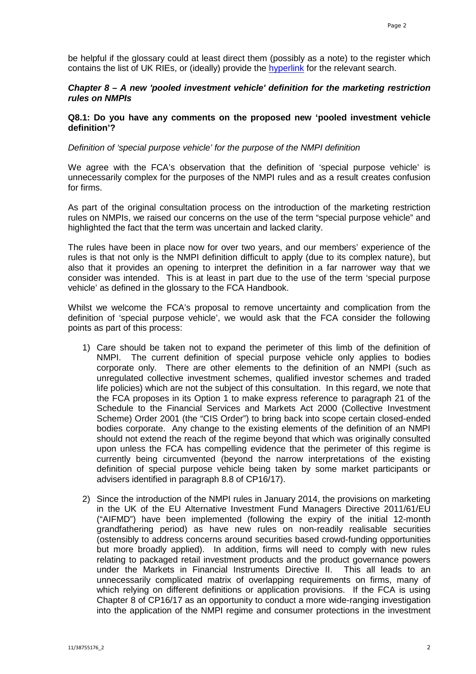be helpful if the glossary could at least direct them (possibly as a note) to the register which contains the list of UK RIEs, or (ideally) provide the [hyperlink](https://register.fca.org.uk/shpo_searchresultspage?preDefined=RIE&TOKEN=5zq3mgf0d8qk) for the relevant search.

# *Chapter 8 – A new 'pooled investment vehicle' definition for the marketing restriction rules on NMPIs*

# **Q8.1: Do you have any comments on the proposed new 'pooled investment vehicle definition'?**

### *Definition of 'special purpose vehicle' for the purpose of the NMPI definition*

We agree with the FCA's observation that the definition of 'special purpose vehicle' is unnecessarily complex for the purposes of the NMPI rules and as a result creates confusion for firms.

As part of the original consultation process on the introduction of the marketing restriction rules on NMPIs, we raised our concerns on the use of the term "special purpose vehicle" and highlighted the fact that the term was uncertain and lacked clarity.

The rules have been in place now for over two years, and our members' experience of the rules is that not only is the NMPI definition difficult to apply (due to its complex nature), but also that it provides an opening to interpret the definition in a far narrower way that we consider was intended. This is at least in part due to the use of the term 'special purpose vehicle' as defined in the glossary to the FCA Handbook.

Whilst we welcome the FCA's proposal to remove uncertainty and complication from the definition of 'special purpose vehicle', we would ask that the FCA consider the following points as part of this process:

- 1) Care should be taken not to expand the perimeter of this limb of the definition of NMPI. The current definition of special purpose vehicle only applies to bodies corporate only. There are other elements to the definition of an NMPI (such as unregulated collective investment schemes, qualified investor schemes and traded life policies) which are not the subject of this consultation. In this regard, we note that the FCA proposes in its Option 1 to make express reference to paragraph 21 of the Schedule to the Financial Services and Markets Act 2000 (Collective Investment Scheme) Order 2001 (the "CIS Order") to bring back into scope certain closed-ended bodies corporate. Any change to the existing elements of the definition of an NMPI should not extend the reach of the regime beyond that which was originally consulted upon unless the FCA has compelling evidence that the perimeter of this regime is currently being circumvented (beyond the narrow interpretations of the existing definition of special purpose vehicle being taken by some market participants or advisers identified in paragraph 8.8 of CP16/17).
- 2) Since the introduction of the NMPI rules in January 2014, the provisions on marketing in the UK of the EU Alternative Investment Fund Managers Directive 2011/61/EU ("AIFMD") have been implemented (following the expiry of the initial 12-month grandfathering period) as have new rules on non-readily realisable securities (ostensibly to address concerns around securities based crowd-funding opportunities but more broadly applied). In addition, firms will need to comply with new rules relating to packaged retail investment products and the product governance powers under the Markets in Financial Instruments Directive II. This all leads to an unnecessarily complicated matrix of overlapping requirements on firms, many of which relying on different definitions or application provisions. If the FCA is using Chapter 8 of CP16/17 as an opportunity to conduct a more wide-ranging investigation into the application of the NMPI regime and consumer protections in the investment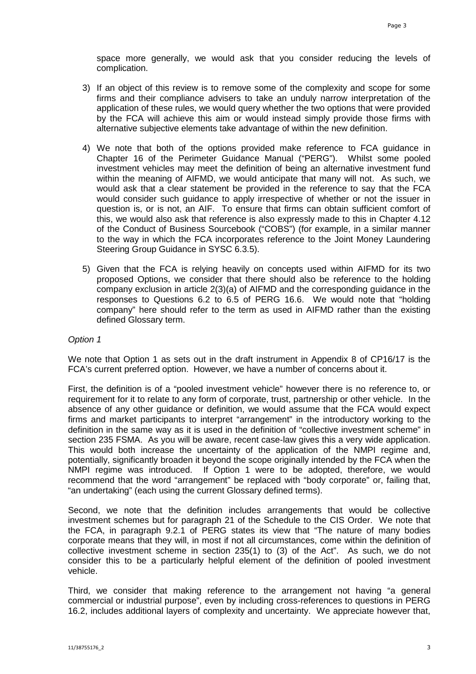space more generally, we would ask that you consider reducing the levels of complication.

- 3) If an object of this review is to remove some of the complexity and scope for some firms and their compliance advisers to take an unduly narrow interpretation of the application of these rules, we would query whether the two options that were provided by the FCA will achieve this aim or would instead simply provide those firms with alternative subjective elements take advantage of within the new definition.
- 4) We note that both of the options provided make reference to FCA guidance in Chapter 16 of the Perimeter Guidance Manual ("PERG"). Whilst some pooled investment vehicles may meet the definition of being an alternative investment fund within the meaning of AIFMD, we would anticipate that many will not. As such, we would ask that a clear statement be provided in the reference to say that the FCA would consider such guidance to apply irrespective of whether or not the issuer in question is, or is not, an AIF. To ensure that firms can obtain sufficient comfort of this, we would also ask that reference is also expressly made to this in Chapter 4.12 of the Conduct of Business Sourcebook ("COBS") (for example, in a similar manner to the way in which the FCA incorporates reference to the Joint Money Laundering Steering Group Guidance in SYSC 6.3.5).
- 5) Given that the FCA is relying heavily on concepts used within AIFMD for its two proposed Options, we consider that there should also be reference to the holding company exclusion in article 2(3)(a) of AIFMD and the corresponding guidance in the responses to Questions 6.2 to 6.5 of PERG 16.6. We would note that "holding company" here should refer to the term as used in AIFMD rather than the existing defined Glossary term.

### *Option 1*

We note that Option 1 as sets out in the draft instrument in Appendix 8 of CP16/17 is the FCA's current preferred option. However, we have a number of concerns about it.

First, the definition is of a "pooled investment vehicle" however there is no reference to, or requirement for it to relate to any form of corporate, trust, partnership or other vehicle. In the absence of any other guidance or definition, we would assume that the FCA would expect firms and market participants to interpret "arrangement" in the introductory working to the definition in the same way as it is used in the definition of "collective investment scheme" in section 235 FSMA. As you will be aware, recent case-law gives this a very wide application. This would both increase the uncertainty of the application of the NMPI regime and, potentially, significantly broaden it beyond the scope originally intended by the FCA when the NMPI regime was introduced. If Option 1 were to be adopted, therefore, we would recommend that the word "arrangement" be replaced with "body corporate" or, failing that, "an undertaking" (each using the current Glossary defined terms).

Second, we note that the definition includes arrangements that would be collective investment schemes but for paragraph 21 of the Schedule to the CIS Order. We note that the FCA, in paragraph 9.2.1 of PERG states its view that "The nature of many bodies corporate means that they will, in most if not all circumstances, come within the definition of collective investment scheme in section 235(1) to (3) of the Act". As such, we do not consider this to be a particularly helpful element of the definition of pooled investment vehicle.

Third, we consider that making reference to the arrangement not having "a general commercial or industrial purpose", even by including cross-references to questions in PERG 16.2, includes additional layers of complexity and uncertainty. We appreciate however that,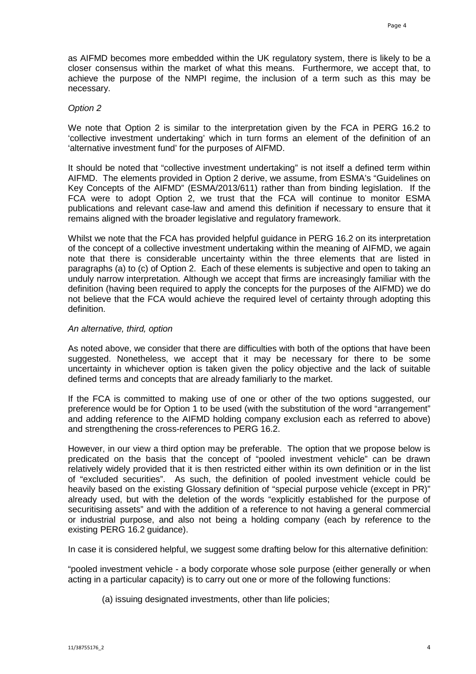as AIFMD becomes more embedded within the UK regulatory system, there is likely to be a closer consensus within the market of what this means. Furthermore, we accept that, to achieve the purpose of the NMPI regime, the inclusion of a term such as this may be necessary.

### *Option 2*

We note that Option 2 is similar to the interpretation given by the FCA in PERG 16.2 to 'collective investment undertaking' which in turn forms an element of the definition of an 'alternative investment fund' for the purposes of AIFMD.

It should be noted that "collective investment undertaking" is not itself a defined term within AIFMD. The elements provided in Option 2 derive, we assume, from ESMA's "Guidelines on Key Concepts of the AIFMD" (ESMA/2013/611) rather than from binding legislation. If the FCA were to adopt Option 2, we trust that the FCA will continue to monitor ESMA publications and relevant case-law and amend this definition if necessary to ensure that it remains aligned with the broader legislative and regulatory framework.

Whilst we note that the FCA has provided helpful guidance in PERG 16.2 on its interpretation of the concept of a collective investment undertaking within the meaning of AIFMD, we again note that there is considerable uncertainty within the three elements that are listed in paragraphs (a) to (c) of Option 2. Each of these elements is subjective and open to taking an unduly narrow interpretation. Although we accept that firms are increasingly familiar with the definition (having been required to apply the concepts for the purposes of the AIFMD) we do not believe that the FCA would achieve the required level of certainty through adopting this definition.

#### *An alternative, third, option*

As noted above, we consider that there are difficulties with both of the options that have been suggested. Nonetheless, we accept that it may be necessary for there to be some uncertainty in whichever option is taken given the policy objective and the lack of suitable defined terms and concepts that are already familiarly to the market.

If the FCA is committed to making use of one or other of the two options suggested, our preference would be for Option 1 to be used (with the substitution of the word "arrangement" and adding reference to the AIFMD holding company exclusion each as referred to above) and strengthening the cross-references to PERG 16.2.

However, in our view a third option may be preferable. The option that we propose below is predicated on the basis that the concept of "pooled investment vehicle" can be drawn relatively widely provided that it is then restricted either within its own definition or in the list of "excluded securities". As such, the definition of pooled investment vehicle could be heavily based on the existing Glossary definition of "special purpose vehicle (except in PR)" already used, but with the deletion of the words "explicitly established for the purpose of securitising assets" and with the addition of a reference to not having a general commercial or industrial purpose, and also not being a holding company (each by reference to the existing PERG 16.2 guidance).

In case it is considered helpful, we suggest some drafting below for this alternative definition:

"pooled investment vehicle - a body corporate whose sole purpose (either generally or when acting in a particular capacity) is to carry out one or more of the following functions:

(a) issuing designated investments, other than life policies;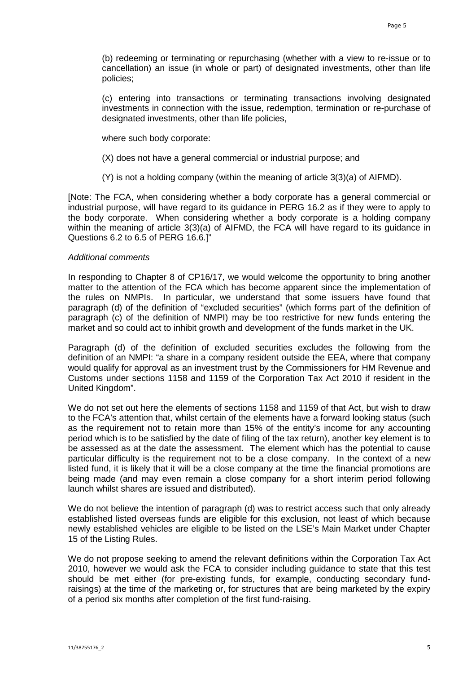(b) redeeming or terminating or repurchasing (whether with a view to re-issue or to cancellation) an issue (in whole or part) of designated investments, other than life policies;

(c) entering into transactions or terminating transactions involving designated investments in connection with the issue, redemption, termination or re-purchase of designated investments, other than life policies,

where such body corporate:

(X) does not have a general commercial or industrial purpose; and

(Y) is not a holding company (within the meaning of article 3(3)(a) of AIFMD).

[Note: The FCA, when considering whether a body corporate has a general commercial or industrial purpose, will have regard to its guidance in PERG 16.2 as if they were to apply to the body corporate. When considering whether a body corporate is a holding company within the meaning of article 3(3)(a) of AIFMD, the FCA will have regard to its guidance in Questions 6.2 to 6.5 of PERG 16.6.]"

#### *Additional comments*

In responding to Chapter 8 of CP16/17, we would welcome the opportunity to bring another matter to the attention of the FCA which has become apparent since the implementation of the rules on NMPIs. In particular, we understand that some issuers have found that paragraph (d) of the definition of "excluded securities" (which forms part of the definition of paragraph (c) of the definition of NMPI) may be too restrictive for new funds entering the market and so could act to inhibit growth and development of the funds market in the UK.

Paragraph (d) of the definition of excluded securities excludes the following from the definition of an NMPI: "a share in a company resident outside the EEA, where that company would qualify for approval as an investment trust by the Commissioners for HM Revenue and Customs under sections 1158 and 1159 of the Corporation Tax Act 2010 if resident in the United Kingdom".

We do not set out here the elements of sections 1158 and 1159 of that Act, but wish to draw to the FCA's attention that, whilst certain of the elements have a forward looking status (such as the requirement not to retain more than 15% of the entity's income for any accounting period which is to be satisfied by the date of filing of the tax return), another key element is to be assessed as at the date the assessment. The element which has the potential to cause particular difficulty is the requirement not to be a close company. In the context of a new listed fund, it is likely that it will be a close company at the time the financial promotions are being made (and may even remain a close company for a short interim period following launch whilst shares are issued and distributed).

We do not believe the intention of paragraph (d) was to restrict access such that only already established listed overseas funds are eligible for this exclusion, not least of which because newly established vehicles are eligible to be listed on the LSE's Main Market under Chapter 15 of the Listing Rules.

We do not propose seeking to amend the relevant definitions within the Corporation Tax Act 2010, however we would ask the FCA to consider including guidance to state that this test should be met either (for pre-existing funds, for example, conducting secondary fundraisings) at the time of the marketing or, for structures that are being marketed by the expiry of a period six months after completion of the first fund-raising.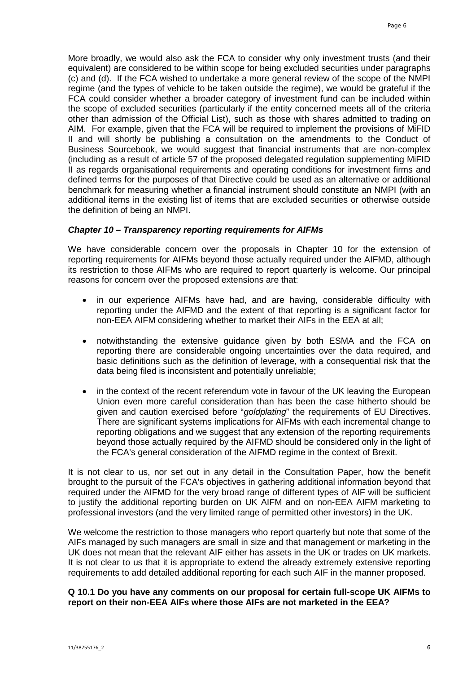More broadly, we would also ask the FCA to consider why only investment trusts (and their equivalent) are considered to be within scope for being excluded securities under paragraphs (c) and (d). If the FCA wished to undertake a more general review of the scope of the NMPI regime (and the types of vehicle to be taken outside the regime), we would be grateful if the FCA could consider whether a broader category of investment fund can be included within the scope of excluded securities (particularly if the entity concerned meets all of the criteria other than admission of the Official List), such as those with shares admitted to trading on AIM. For example, given that the FCA will be required to implement the provisions of MiFID II and will shortly be publishing a consultation on the amendments to the Conduct of Business Sourcebook, we would suggest that financial instruments that are non-complex (including as a result of article 57 of the proposed delegated regulation supplementing MiFID II as regards organisational requirements and operating conditions for investment firms and defined terms for the purposes of that Directive could be used as an alternative or additional benchmark for measuring whether a financial instrument should constitute an NMPI (with an additional items in the existing list of items that are excluded securities or otherwise outside the definition of being an NMPI.

# *Chapter 10 – Transparency reporting requirements for AIFMs*

We have considerable concern over the proposals in Chapter 10 for the extension of reporting requirements for AIFMs beyond those actually required under the AIFMD, although its restriction to those AIFMs who are required to report quarterly is welcome. Our principal reasons for concern over the proposed extensions are that:

- in our experience AIFMs have had, and are having, considerable difficulty with reporting under the AIFMD and the extent of that reporting is a significant factor for non-EEA AIFM considering whether to market their AIFs in the EEA at all;
- notwithstanding the extensive guidance given by both ESMA and the FCA on reporting there are considerable ongoing uncertainties over the data required, and basic definitions such as the definition of leverage, with a consequential risk that the data being filed is inconsistent and potentially unreliable;
- in the context of the recent referendum vote in favour of the UK leaving the European Union even more careful consideration than has been the case hitherto should be given and caution exercised before "*goldplating*" the requirements of EU Directives. There are significant systems implications for AIFMs with each incremental change to reporting obligations and we suggest that any extension of the reporting requirements beyond those actually required by the AIFMD should be considered only in the light of the FCA's general consideration of the AIFMD regime in the context of Brexit.

It is not clear to us, nor set out in any detail in the Consultation Paper, how the benefit brought to the pursuit of the FCA's objectives in gathering additional information beyond that required under the AIFMD for the very broad range of different types of AIF will be sufficient to justify the additional reporting burden on UK AIFM and on non-EEA AIFM marketing to professional investors (and the very limited range of permitted other investors) in the UK.

We welcome the restriction to those managers who report quarterly but note that some of the AIFs managed by such managers are small in size and that management or marketing in the UK does not mean that the relevant AIF either has assets in the UK or trades on UK markets. It is not clear to us that it is appropriate to extend the already extremely extensive reporting requirements to add detailed additional reporting for each such AIF in the manner proposed.

# **Q 10.1 Do you have any comments on our proposal for certain full-scope UK AIFMs to report on their non-EEA AIFs where those AIFs are not marketed in the EEA?**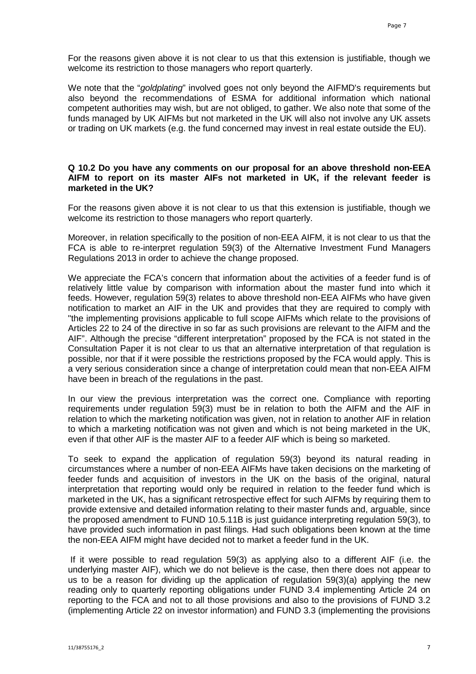For the reasons given above it is not clear to us that this extension is justifiable, though we welcome its restriction to those managers who report quarterly.

We note that the "*goldplating*" involved goes not only beyond the AIFMD's requirements but also beyond the recommendations of ESMA for additional information which national competent authorities may wish, but are not obliged, to gather. We also note that some of the funds managed by UK AIFMs but not marketed in the UK will also not involve any UK assets or trading on UK markets (e.g. the fund concerned may invest in real estate outside the EU).

### **Q 10.2 Do you have any comments on our proposal for an above threshold non-EEA AIFM to report on its master AIFs not marketed in UK, if the relevant feeder is marketed in the UK?**

For the reasons given above it is not clear to us that this extension is justifiable, though we welcome its restriction to those managers who report quarterly.

Moreover, in relation specifically to the position of non-EEA AIFM, it is not clear to us that the FCA is able to re-interpret regulation 59(3) of the Alternative Investment Fund Managers Regulations 2013 in order to achieve the change proposed.

We appreciate the FCA's concern that information about the activities of a feeder fund is of relatively little value by comparison with information about the master fund into which it feeds. However, regulation 59(3) relates to above threshold non-EEA AIFMs who have given notification to market an AIF in the UK and provides that they are required to comply with "the implementing provisions applicable to full scope AIFMs which relate to the provisions of Articles 22 to 24 of the directive in so far as such provisions are relevant to the AIFM and the AIF". Although the precise "different interpretation" proposed by the FCA is not stated in the Consultation Paper it is not clear to us that an alternative interpretation of that regulation is possible, nor that if it were possible the restrictions proposed by the FCA would apply. This is a very serious consideration since a change of interpretation could mean that non-EEA AIFM have been in breach of the regulations in the past.

In our view the previous interpretation was the correct one. Compliance with reporting requirements under regulation 59(3) must be in relation to both the AIFM and the AIF in relation to which the marketing notification was given, not in relation to another AIF in relation to which a marketing notification was not given and which is not being marketed in the UK, even if that other AIF is the master AIF to a feeder AIF which is being so marketed.

To seek to expand the application of regulation 59(3) beyond its natural reading in circumstances where a number of non-EEA AIFMs have taken decisions on the marketing of feeder funds and acquisition of investors in the UK on the basis of the original, natural interpretation that reporting would only be required in relation to the feeder fund which is marketed in the UK, has a significant retrospective effect for such AIFMs by requiring them to provide extensive and detailed information relating to their master funds and, arguable, since the proposed amendment to FUND 10.5.11B is just guidance interpreting regulation 59(3), to have provided such information in past filings. Had such obligations been known at the time the non-EEA AIFM might have decided not to market a feeder fund in the UK.

If it were possible to read regulation 59(3) as applying also to a different AIF (i.e. the underlying master AIF), which we do not believe is the case, then there does not appear to us to be a reason for dividing up the application of regulation 59(3)(a) applying the new reading only to quarterly reporting obligations under FUND 3.4 implementing Article 24 on reporting to the FCA and not to all those provisions and also to the provisions of FUND 3.2 (implementing Article 22 on investor information) and FUND 3.3 (implementing the provisions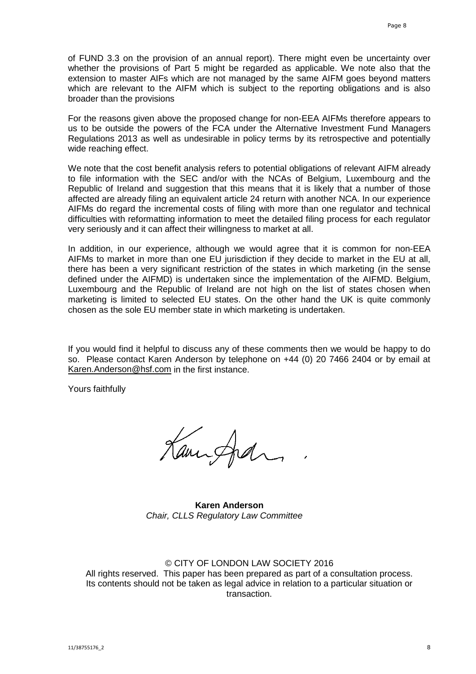of FUND 3.3 on the provision of an annual report). There might even be uncertainty over whether the provisions of Part 5 might be regarded as applicable. We note also that the extension to master AIFs which are not managed by the same AIFM goes beyond matters which are relevant to the AIFM which is subject to the reporting obligations and is also broader than the provisions

For the reasons given above the proposed change for non-EEA AIFMs therefore appears to us to be outside the powers of the FCA under the Alternative Investment Fund Managers Regulations 2013 as well as undesirable in policy terms by its retrospective and potentially wide reaching effect.

We note that the cost benefit analysis refers to potential obligations of relevant AIFM already to file information with the SEC and/or with the NCAs of Belgium, Luxembourg and the Republic of Ireland and suggestion that this means that it is likely that a number of those affected are already filing an equivalent article 24 return with another NCA. In our experience AIFMs do regard the incremental costs of filing with more than one regulator and technical difficulties with reformatting information to meet the detailed filing process for each regulator very seriously and it can affect their willingness to market at all.

In addition, in our experience, although we would agree that it is common for non-EEA AIFMs to market in more than one EU jurisdiction if they decide to market in the EU at all, there has been a very significant restriction of the states in which marketing (in the sense defined under the AIFMD) is undertaken since the implementation of the AIFMD. Belgium, Luxembourg and the Republic of Ireland are not high on the list of states chosen when marketing is limited to selected EU states. On the other hand the UK is quite commonly chosen as the sole EU member state in which marketing is undertaken.

If you would find it helpful to discuss any of these comments then we would be happy to do so. Please contact Karen Anderson by telephone on +44 (0) 20 7466 2404 or by email at [Karen.Anderson@hsf.com](mailto:Karen.Anderson@hsf.com) in the first instance.

Yours faithfully

Kaminghan

**Karen Anderson** *Chair, CLLS Regulatory Law Committee*

### © CITY OF LONDON LAW SOCIETY 2016

All rights reserved. This paper has been prepared as part of a consultation process. Its contents should not be taken as legal advice in relation to a particular situation or transaction.